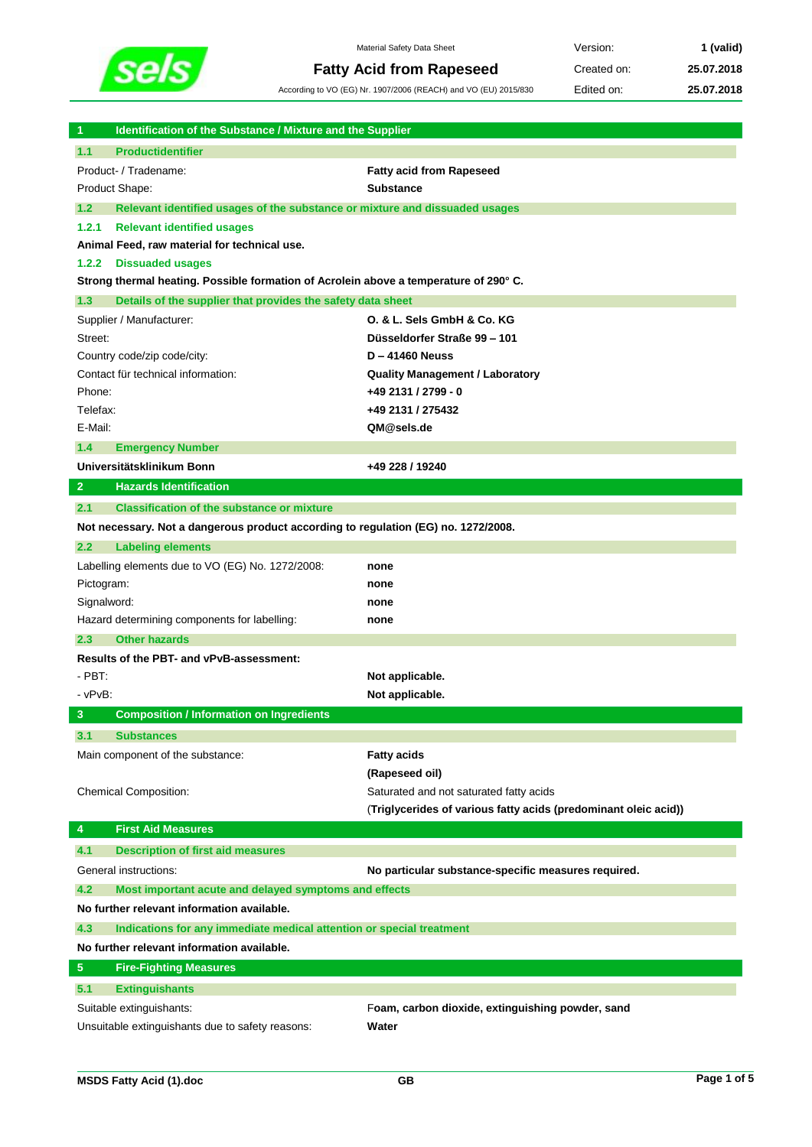

 $\overline{\phantom{a}}$ 

Material Safety Data Sheet **Version: 1 (valid) Fatty Acid from Rapeseed** Created on: 25.07.2018

According to VO (EG) Nr. 1907/2006 (REACH) and VO (EU) 2015/830 Edited on: **25.07.2018**

| 1              | Identification of the Substance / Mixture and the Supplier                            |                                                                 |  |
|----------------|---------------------------------------------------------------------------------------|-----------------------------------------------------------------|--|
| 1.1            | <b>Productidentifier</b>                                                              |                                                                 |  |
|                | Product- / Tradename:                                                                 | <b>Fatty acid from Rapeseed</b>                                 |  |
|                | Product Shape:                                                                        | <b>Substance</b>                                                |  |
| 1.2            | Relevant identified usages of the substance or mixture and dissuaded usages           |                                                                 |  |
| 1.2.1          | <b>Relevant identified usages</b>                                                     |                                                                 |  |
|                | Animal Feed, raw material for technical use.                                          |                                                                 |  |
| 1.2.2          | <b>Dissuaded usages</b>                                                               |                                                                 |  |
|                | Strong thermal heating. Possible formation of Acrolein above a temperature of 290° C. |                                                                 |  |
| 1.3            | Details of the supplier that provides the safety data sheet                           |                                                                 |  |
|                | Supplier / Manufacturer:                                                              | O. & L. Sels GmbH & Co. KG                                      |  |
| Street:        |                                                                                       | Düsseldorfer Straße 99 - 101                                    |  |
|                | Country code/zip code/city:                                                           | <b>D-41460 Neuss</b>                                            |  |
|                | Contact für technical information:                                                    | <b>Quality Management / Laboratory</b>                          |  |
| Phone:         |                                                                                       | +49 2131 / 2799 - 0                                             |  |
| Telefax:       |                                                                                       | +49 2131 / 275432                                               |  |
| E-Mail:        |                                                                                       | QM@sels.de                                                      |  |
| 1.4            | <b>Emergency Number</b>                                                               |                                                                 |  |
|                | Universitätsklinikum Bonn                                                             | +49 228 / 19240                                                 |  |
| $\overline{2}$ | <b>Hazards Identification</b>                                                         |                                                                 |  |
| 2.1            | <b>Classification of the substance or mixture</b>                                     |                                                                 |  |
|                | Not necessary. Not a dangerous product according to regulation (EG) no. 1272/2008.    |                                                                 |  |
| 2.2            | <b>Labeling elements</b>                                                              |                                                                 |  |
|                | Labelling elements due to VO (EG) No. 1272/2008:                                      | none                                                            |  |
| Pictogram:     |                                                                                       | none                                                            |  |
| Signalword:    |                                                                                       | none                                                            |  |
|                | Hazard determining components for labelling:                                          | none                                                            |  |
| 2.3            | <b>Other hazards</b>                                                                  |                                                                 |  |
|                | Results of the PBT- and vPvB-assessment:                                              |                                                                 |  |
| - PBT:         |                                                                                       | Not applicable.                                                 |  |
| - vPvB:        |                                                                                       | Not applicable.                                                 |  |
| 3              | <b>Composition / Information on Ingredients</b>                                       |                                                                 |  |
| 3.1            | <b>Substances</b>                                                                     |                                                                 |  |
|                | Main component of the substance:                                                      | <b>Fatty acids</b>                                              |  |
|                |                                                                                       | (Rapeseed oil)                                                  |  |
|                | Chemical Composition:                                                                 | Saturated and not saturated fatty acids                         |  |
|                |                                                                                       | (Triglycerides of various fatty acids (predominant oleic acid)) |  |
| 4              | <b>First Aid Measures</b>                                                             |                                                                 |  |
| 4.1            | <b>Description of first aid measures</b>                                              |                                                                 |  |
|                | General instructions:                                                                 | No particular substance-specific measures required.             |  |
| 4.2            | Most important acute and delayed symptoms and effects                                 |                                                                 |  |
|                | No further relevant information available.                                            |                                                                 |  |
| 4.3            | Indications for any immediate medical attention or special treatment                  |                                                                 |  |
|                | No further relevant information available.                                            |                                                                 |  |
| 5 <sub>5</sub> | <b>Fire-Fighting Measures</b>                                                         |                                                                 |  |
| 5.1            | <b>Extinguishants</b>                                                                 |                                                                 |  |
|                | Suitable extinguishants:                                                              | Foam, carbon dioxide, extinguishing powder, sand                |  |
|                | Unsuitable extinguishants due to safety reasons:                                      | Water                                                           |  |

I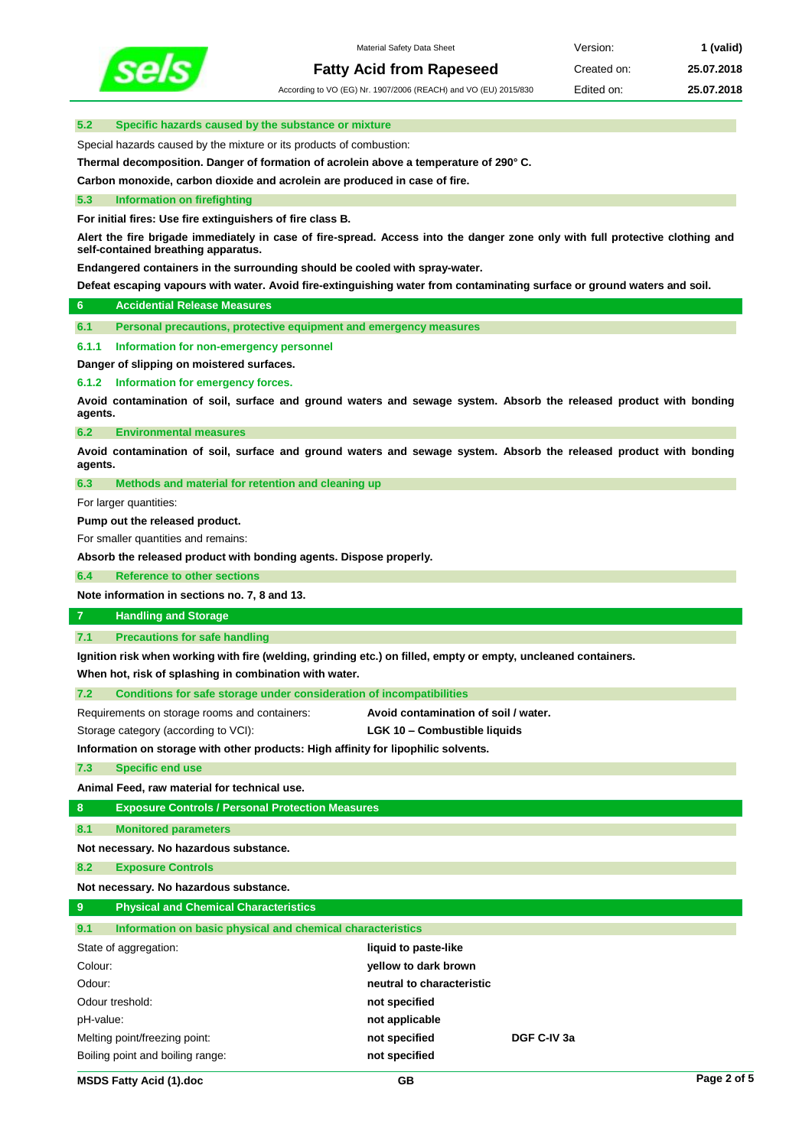

According to VO (EG) Nr. 1907/2006 (REACH) and VO (EU) 2015/830 Edited on: **25.07.2018**

### **5.2 Specific hazards caused by the substance or mixture**

Special hazards caused by the mixture or its products of combustion:

**Thermal decomposition. Danger of formation of acrolein above a temperature of 290° C.**

**Carbon monoxide, carbon dioxide and acrolein are produced in case of fire.**

### **5.3 Information on firefighting**

**For initial fires: Use fire extinguishers of fire class B.**

**Alert the fire brigade immediately in case of fire-spread. Access into the danger zone only with full protective clothing and self-contained breathing apparatus.** 

**Endangered containers in the surrounding should be cooled with spray-water.**

**Defeat escaping vapours with water. Avoid fire-extinguishing water from contaminating surface or ground waters and soil.**

### **6 Accidential Release Measures**

**6.1 Personal precautions, protective equipment and emergency measures**

#### **6.1.1 Information for non-emergency personnel**

**Danger of slipping on moistered surfaces.**

**6.1.2 Information for emergency forces.**

**Avoid contamination of soil, surface and ground waters and sewage system. Absorb the released product with bonding agents.**

**6.2 Environmental measures**

**Avoid contamination of soil, surface and ground waters and sewage system. Absorb the released product with bonding agents.**

**6.3 Methods and material for retention and cleaning up**

For larger quantities:

**Pump out the released product.**

For smaller quantities and remains:

**Absorb the released product with bonding agents. Dispose properly.**

**6.4 Reference to other sections**

**Note information in sections no. 7, 8 and 13.**

# **7 Handling and Storage**

**7.1 Precautions for safe handling**

**Ignition risk when working with fire (welding, grinding etc.) on filled, empty or empty, uncleaned containers.**

**When hot, risk of splashing in combination with water.**

**7.2 Conditions for safe storage under consideration of incompatibilities**

Requirements on storage rooms and containers: **Avoid contamination of soil / water.**

Storage category (according to VCI): **LGK 10 – Combustible liquids**

**Information on storage with other products: High affinity for lipophilic solvents.**

**7.3 Specific end use**

**Animal Feed, raw material for technical use.**

**8 Exposure Controls / Personal Protection Measures**

**8.1 Monitored parameters**

**Not necessary. No hazardous substance.**

**8.2 Exposure Controls**

**Not necessary. No hazardous substance.**

## **9 Physical and Chemical Characteristics 9.1 Information on basic physical and chemical characteristics**

| State of aggregation:            | liquid to paste-like      |             |  |
|----------------------------------|---------------------------|-------------|--|
| Colour:                          | yellow to dark brown      |             |  |
| Odour:                           | neutral to characteristic |             |  |
| Odour treshold:                  | not specified             |             |  |
| pH-value:                        | not applicable            |             |  |
| Melting point/freezing point:    | not specified             | DGF C-IV 3a |  |
| Boiling point and boiling range: | not specified             |             |  |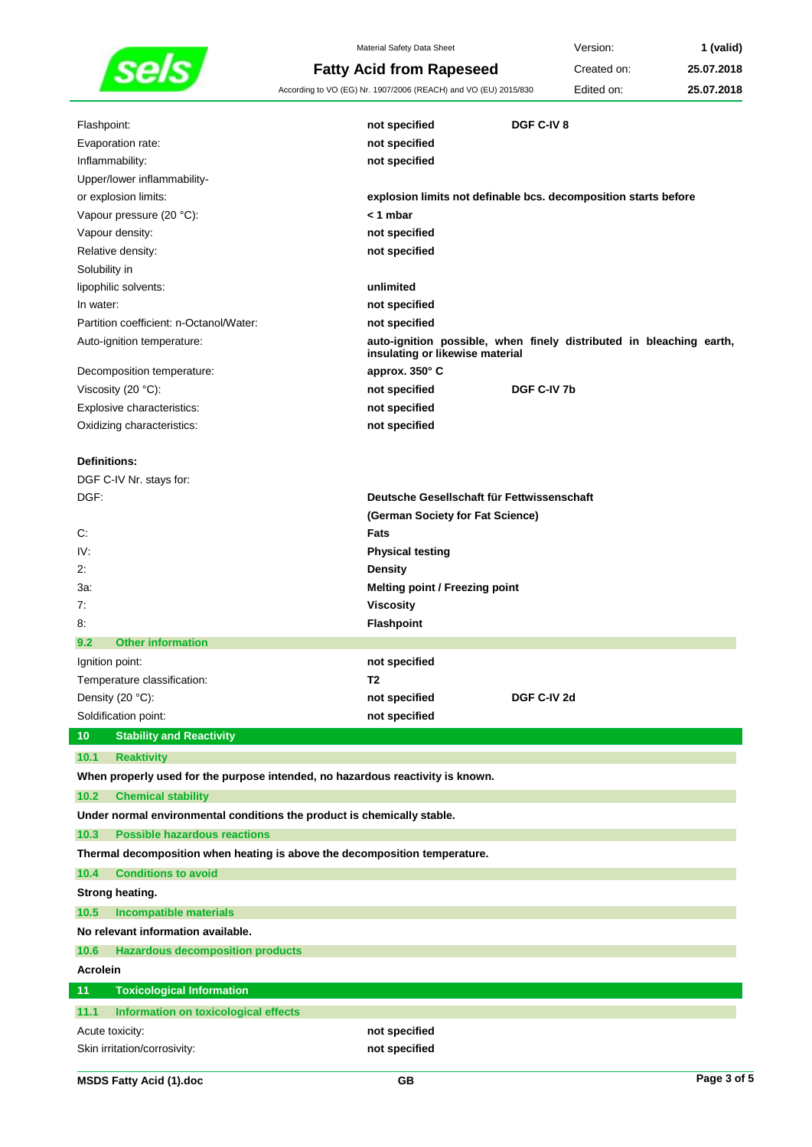

Material Safety Data Sheet **Version: 1 (valid) Fatty Acid from Rapeseed** Created on: 25.07.2018 According to VO (EG) Nr. 1907/2006 (REACH) and VO (EU) 2015/830 Edited on: **25.07.2018**

| Flashpoint:                                                                    | not specified                              | DGF C-IV 8                                                          |
|--------------------------------------------------------------------------------|--------------------------------------------|---------------------------------------------------------------------|
| Evaporation rate:                                                              | not specified                              |                                                                     |
| Inflammability:                                                                | not specified                              |                                                                     |
| Upper/lower inflammability-<br>or explosion limits:                            |                                            | explosion limits not definable bcs. decomposition starts before     |
| Vapour pressure (20 °C):                                                       | < 1 mbar                                   |                                                                     |
| Vapour density:                                                                | not specified                              |                                                                     |
| Relative density:                                                              | not specified                              |                                                                     |
| Solubility in                                                                  |                                            |                                                                     |
| lipophilic solvents:                                                           | unlimited                                  |                                                                     |
| In water:                                                                      | not specified                              |                                                                     |
| Partition coefficient: n-Octanol/Water:                                        | not specified                              |                                                                     |
| Auto-ignition temperature:                                                     | insulating or likewise material            | auto-ignition possible, when finely distributed in bleaching earth, |
| Decomposition temperature:                                                     | approx. 350° C                             |                                                                     |
| Viscosity (20 °C):                                                             | not specified                              | DGF C-IV 7b                                                         |
| Explosive characteristics:                                                     | not specified                              |                                                                     |
| Oxidizing characteristics:                                                     | not specified                              |                                                                     |
|                                                                                |                                            |                                                                     |
| Definitions:                                                                   |                                            |                                                                     |
| DGF C-IV Nr. stays for:                                                        |                                            |                                                                     |
| DGF:                                                                           | Deutsche Gesellschaft für Fettwissenschaft |                                                                     |
|                                                                                | (German Society for Fat Science)           |                                                                     |
| С.                                                                             | Fats                                       |                                                                     |
| IV:                                                                            | <b>Physical testing</b>                    |                                                                     |
| 2:                                                                             | <b>Density</b>                             |                                                                     |
| 3а:                                                                            | <b>Melting point / Freezing point</b>      |                                                                     |
| 7:                                                                             | <b>Viscosity</b>                           |                                                                     |
| 8.                                                                             | Flashpoint                                 |                                                                     |
| <b>Other information</b><br>9.2                                                |                                            |                                                                     |
| Ignition point:                                                                | not specified                              |                                                                     |
| Temperature classification:                                                    | T <sub>2</sub>                             |                                                                     |
| Density (20 °C):                                                               | not specified                              | DGF C-IV 2d                                                         |
| Soldification point:                                                           | not specified                              |                                                                     |
| <b>Stability and Reactivity</b><br>10                                          |                                            |                                                                     |
| 10.1<br><b>Reaktivity</b>                                                      |                                            |                                                                     |
| When properly used for the purpose intended, no hazardous reactivity is known. |                                            |                                                                     |
| 10.2<br><b>Chemical stability</b>                                              |                                            |                                                                     |
| Under normal environmental conditions the product is chemically stable.        |                                            |                                                                     |
| <b>Possible hazardous reactions</b><br>10.3                                    |                                            |                                                                     |
| Thermal decomposition when heating is above the decomposition temperature.     |                                            |                                                                     |
| <b>Conditions to avoid</b><br>10.4                                             |                                            |                                                                     |
| <b>Strong heating.</b>                                                         |                                            |                                                                     |
| 10.5<br><b>Incompatible materials</b>                                          |                                            |                                                                     |
| No relevant information available.                                             |                                            |                                                                     |
| 10.6<br><b>Hazardous decomposition products</b>                                |                                            |                                                                     |
| <b>Acrolein</b>                                                                |                                            |                                                                     |
| 11<br><b>Toxicological Information</b>                                         |                                            |                                                                     |
| 11.1<br>Information on toxicological effects                                   |                                            |                                                                     |
| Acute toxicity:                                                                | not specified                              |                                                                     |
|                                                                                |                                            |                                                                     |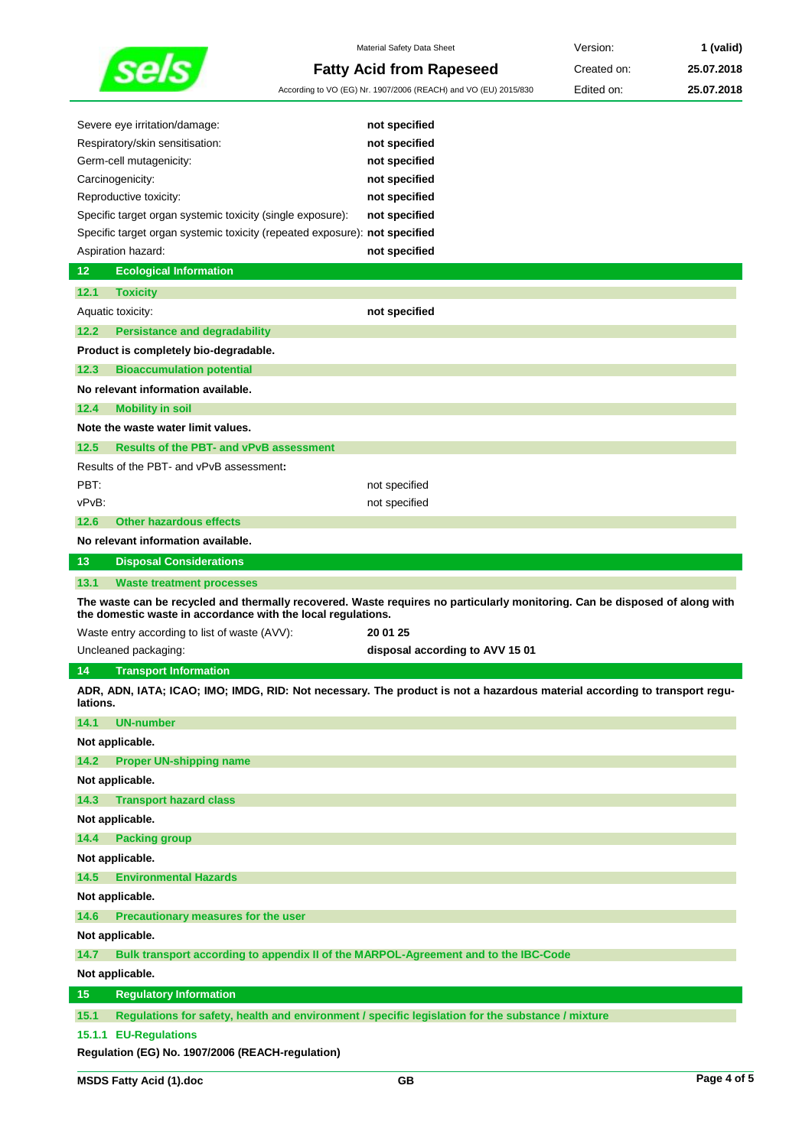|                                                                            | Material Safety Data Sheet                                                                                                  | Version:    | 1 (valid)  |
|----------------------------------------------------------------------------|-----------------------------------------------------------------------------------------------------------------------------|-------------|------------|
|                                                                            | <b>Fatty Acid from Rapeseed</b>                                                                                             | Created on: | 25.07.2018 |
|                                                                            | According to VO (EG) Nr. 1907/2006 (REACH) and VO (EU) 2015/830                                                             | Edited on:  | 25.07.2018 |
|                                                                            |                                                                                                                             |             |            |
| Severe eye irritation/damage:                                              | not specified                                                                                                               |             |            |
| Respiratory/skin sensitisation:                                            | not specified                                                                                                               |             |            |
| Germ-cell mutagenicity:                                                    | not specified                                                                                                               |             |            |
| Carcinogenicity:                                                           | not specified                                                                                                               |             |            |
| Reproductive toxicity:                                                     | not specified                                                                                                               |             |            |
| Specific target organ systemic toxicity (single exposure):                 | not specified                                                                                                               |             |            |
| Specific target organ systemic toxicity (repeated exposure): not specified |                                                                                                                             |             |            |
| Aspiration hazard:                                                         | not specified                                                                                                               |             |            |
| 12<br><b>Ecological Information</b>                                        |                                                                                                                             |             |            |
| 12.1<br><b>Toxicity</b>                                                    |                                                                                                                             |             |            |
| Aquatic toxicity:                                                          | not specified                                                                                                               |             |            |
| 12.2<br><b>Persistance and degradability</b>                               |                                                                                                                             |             |            |
| Product is completely bio-degradable.                                      |                                                                                                                             |             |            |
| 12.3<br><b>Bioaccumulation potential</b>                                   |                                                                                                                             |             |            |
| No relevant information available.                                         |                                                                                                                             |             |            |
| <b>Mobility in soil</b><br>12.4                                            |                                                                                                                             |             |            |
| Note the waste water limit values.                                         |                                                                                                                             |             |            |
| 12.5<br><b>Results of the PBT- and vPvB assessment</b>                     |                                                                                                                             |             |            |
| Results of the PBT- and vPvB assessment:                                   |                                                                                                                             |             |            |
| PBT:                                                                       | not specified                                                                                                               |             |            |
| vPvB:                                                                      | not specified                                                                                                               |             |            |
| <b>Other hazardous effects</b><br>12.6                                     |                                                                                                                             |             |            |
| No relevant information available.                                         |                                                                                                                             |             |            |
|                                                                            |                                                                                                                             |             |            |
| 13<br><b>Disposal Considerations</b>                                       |                                                                                                                             |             |            |
|                                                                            |                                                                                                                             |             |            |
| 13.1<br><b>Waste treatment processes</b>                                   | The waste can be recycled and thermally recovered. Waste requires no particularly monitoring. Can be disposed of along with |             |            |
| the domestic waste in accordance with the local regulations.               |                                                                                                                             |             |            |
| Waste entry according to list of waste (AVV):                              | 20 01 25                                                                                                                    |             |            |
| Uncleaned packaging:                                                       | disposal according to AVV 15 01                                                                                             |             |            |
| <b>Transport Information</b><br>14<br>lations.                             | ADR, ADN, IATA; ICAO; IMO; IMDG, RID: Not necessary. The product is not a hazardous material according to transport regu-   |             |            |
| 14.1                                                                       |                                                                                                                             |             |            |
| <b>UN-number</b>                                                           |                                                                                                                             |             |            |
| Not applicable.                                                            |                                                                                                                             |             |            |
| <b>Proper UN-shipping name</b><br>14.2                                     |                                                                                                                             |             |            |
| Not applicable.                                                            |                                                                                                                             |             |            |
| 14.3<br><b>Transport hazard class</b>                                      |                                                                                                                             |             |            |
| Not applicable.                                                            |                                                                                                                             |             |            |
| <b>Packing group</b><br>14.4                                               |                                                                                                                             |             |            |
| Not applicable.                                                            |                                                                                                                             |             |            |
| <b>Environmental Hazards</b><br>14.5                                       |                                                                                                                             |             |            |
| Not applicable.                                                            |                                                                                                                             |             |            |
| 14.6<br>Precautionary measures for the user                                |                                                                                                                             |             |            |
| Not applicable.                                                            |                                                                                                                             |             |            |
| 14.7                                                                       | Bulk transport according to appendix II of the MARPOL-Agreement and to the IBC-Code                                         |             |            |
| Not applicable.                                                            |                                                                                                                             |             |            |
| 15<br><b>Regulatory Information</b>                                        |                                                                                                                             |             |            |
| 15.1                                                                       | Regulations for safety, health and environment / specific legislation for the substance / mixture                           |             |            |
| 15.1.1 EU-Regulations<br>Regulation (EG) No. 1907/2006 (REACH-regulation)  |                                                                                                                             |             |            |